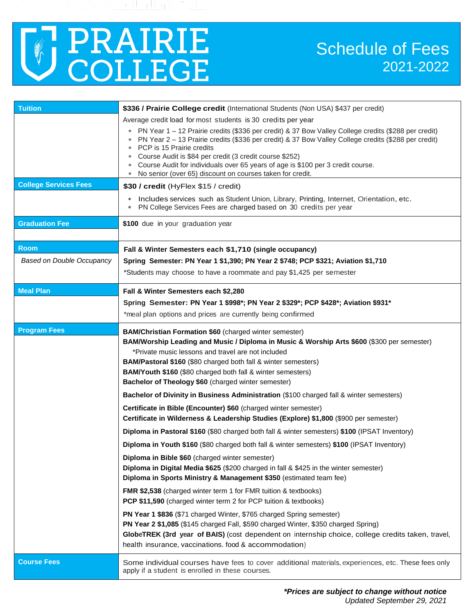

| <b>Tuition</b>                   | \$336 / Prairie College credit (International Students (Non USA) \$437 per credit)                                                                                                                                                                                                                                                                                                                                                                                                           |  |  |  |  |  |
|----------------------------------|----------------------------------------------------------------------------------------------------------------------------------------------------------------------------------------------------------------------------------------------------------------------------------------------------------------------------------------------------------------------------------------------------------------------------------------------------------------------------------------------|--|--|--|--|--|
|                                  | Average credit load for most students is 30 credits per year                                                                                                                                                                                                                                                                                                                                                                                                                                 |  |  |  |  |  |
|                                  | PN Year 1 - 12 Prairie credits (\$336 per credit) & 37 Bow Valley College credits (\$288 per credit)<br>$\ast$<br>PN Year 2 - 13 Prairie credits (\$336 per credit) & 37 Bow Valley College credits (\$288 per credit)<br>*<br>PCP is 15 Prairie credits<br>*<br>Course Audit is \$84 per credit (3 credit course \$252)<br>*<br>Course Audit for individuals over 65 years of age is \$100 per 3 credit course.<br>*<br>No senior (over 65) discount on courses taken for credit.<br>$\ast$ |  |  |  |  |  |
| <b>College Services Fees</b>     | \$30 / credit (HyFlex \$15 / credit)                                                                                                                                                                                                                                                                                                                                                                                                                                                         |  |  |  |  |  |
|                                  | Includes services such as Student Union, Library, Printing, Internet, Orientation, etc.<br>$\ast$<br>PN College Services Fees are charged based on 30 credits per year<br>$\ast$                                                                                                                                                                                                                                                                                                             |  |  |  |  |  |
| <b>Graduation Fee</b>            | \$100 due in your graduation year                                                                                                                                                                                                                                                                                                                                                                                                                                                            |  |  |  |  |  |
| <b>Room</b>                      | Fall & Winter Semesters each \$1,710 (single occupancy)                                                                                                                                                                                                                                                                                                                                                                                                                                      |  |  |  |  |  |
| <b>Based on Double Occupancy</b> | Spring Semester: PN Year 1 \$1,390; PN Year 2 \$748; PCP \$321; Aviation \$1,710                                                                                                                                                                                                                                                                                                                                                                                                             |  |  |  |  |  |
|                                  | *Students may choose to have a roommate and pay \$1,425 per semester                                                                                                                                                                                                                                                                                                                                                                                                                         |  |  |  |  |  |
| <b>Meal Plan</b>                 | Fall & Winter Semesters each \$2,280                                                                                                                                                                                                                                                                                                                                                                                                                                                         |  |  |  |  |  |
|                                  | Spring Semester: PN Year 1 \$998*; PN Year 2 \$329*; PCP \$428*; Aviation \$931*                                                                                                                                                                                                                                                                                                                                                                                                             |  |  |  |  |  |
|                                  | *meal plan options and prices are currently being confirmed                                                                                                                                                                                                                                                                                                                                                                                                                                  |  |  |  |  |  |
| <b>Program Fees</b>              | <b>BAM/Christian Formation \$60</b> (charged winter semester)<br>BAM/Worship Leading and Music / Diploma in Music & Worship Arts \$600 (\$300 per semester)<br>*Private music lessons and travel are not included<br>BAM/Pastoral \$160 (\$80 charged both fall & winter semesters)<br>BAM/Youth \$160 (\$80 charged both fall & winter semesters)<br>Bachelor of Theology \$60 (charged winter semester)                                                                                    |  |  |  |  |  |
|                                  | Bachelor of Divinity in Business Administration (\$100 charged fall & winter semesters)                                                                                                                                                                                                                                                                                                                                                                                                      |  |  |  |  |  |
|                                  | Certificate in Bible (Encounter) \$60 (charged winter semester)<br>Certificate in Wilderness & Leadership Studies (Explore) \$1,800 (\$900 per semester)                                                                                                                                                                                                                                                                                                                                     |  |  |  |  |  |
|                                  | Diploma in Pastoral \$160 (\$80 charged both fall & winter semesters) \$100 (IPSAT Inventory)                                                                                                                                                                                                                                                                                                                                                                                                |  |  |  |  |  |
|                                  | Diploma in Youth \$160 (\$80 charged both fall & winter semesters) \$100 (IPSAT Inventory)                                                                                                                                                                                                                                                                                                                                                                                                   |  |  |  |  |  |
|                                  | Diploma in Bible \$60 (charged winter semester)<br>Diploma in Digital Media \$625 (\$200 charged in fall & \$425 in the winter semester)<br>Diploma in Sports Ministry & Management \$350 (estimated team fee)                                                                                                                                                                                                                                                                               |  |  |  |  |  |
|                                  | <b>FMR \$2,538</b> (charged winter term 1 for FMR tuition & textbooks)<br>PCP \$11,590 (charged winter term 2 for PCP tuition & textbooks)                                                                                                                                                                                                                                                                                                                                                   |  |  |  |  |  |
|                                  | PN Year 1 \$836 (\$71 charged Winter, \$765 charged Spring semester)<br>PN Year 2 \$1,085 (\$145 charged Fall, \$590 charged Winter, \$350 charged Spring)<br>GlobeTREK (3rd year of BAIS) (cost dependent on internship choice, college credits taken, travel,<br>health insurance, vaccinations. food & accommodation)                                                                                                                                                                     |  |  |  |  |  |
| <b>Course Fees</b>               | Some individual courses have fees to cover additional materials, experiences, etc. These fees only<br>apply if a student is enrolled in these courses.                                                                                                                                                                                                                                                                                                                                       |  |  |  |  |  |